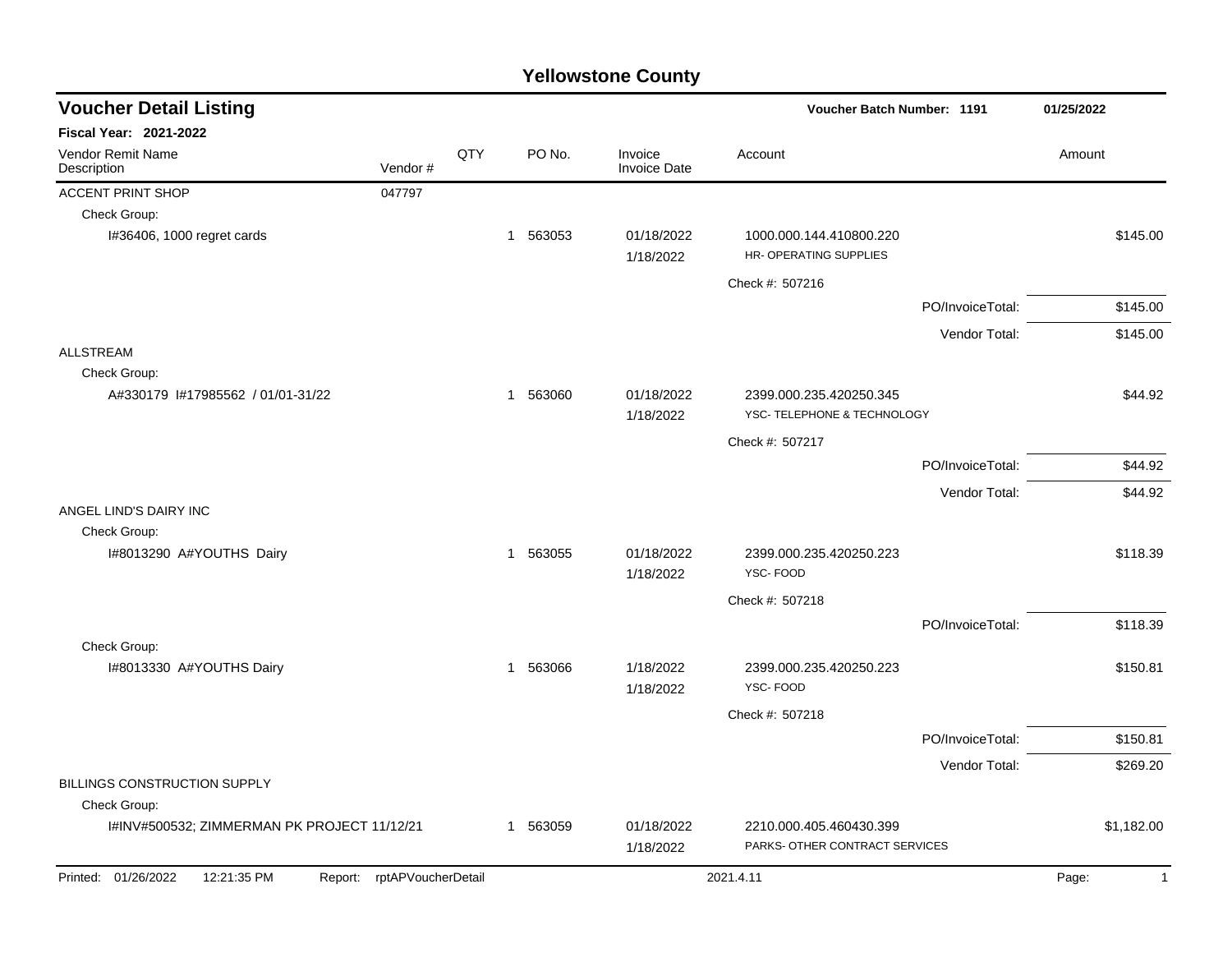| <b>Voucher Detail Listing</b>               |                            |     |                        |                                |                                                           | Voucher Batch Number: 1191 |                       |  |
|---------------------------------------------|----------------------------|-----|------------------------|--------------------------------|-----------------------------------------------------------|----------------------------|-----------------------|--|
| <b>Fiscal Year: 2021-2022</b>               |                            |     |                        |                                |                                                           |                            |                       |  |
| Vendor Remit Name<br>Description            | Vendor#                    | QTY | PO No.                 | Invoice<br><b>Invoice Date</b> | Account                                                   |                            | Amount                |  |
| <b>ACCENT PRINT SHOP</b>                    | 047797                     |     |                        |                                |                                                           |                            |                       |  |
| Check Group:                                |                            |     |                        |                                |                                                           |                            |                       |  |
| I#36406, 1000 regret cards                  |                            |     | 1 563053               | 01/18/2022<br>1/18/2022        | 1000.000.144.410800.220<br>HR- OPERATING SUPPLIES         |                            | \$145.00              |  |
|                                             |                            |     |                        |                                | Check #: 507216                                           |                            |                       |  |
|                                             |                            |     |                        |                                |                                                           | PO/InvoiceTotal:           | \$145.00              |  |
|                                             |                            |     |                        |                                |                                                           | Vendor Total:              | \$145.00              |  |
| <b>ALLSTREAM</b>                            |                            |     |                        |                                |                                                           |                            |                       |  |
| Check Group:                                |                            |     |                        |                                |                                                           |                            |                       |  |
| A#330179 1#17985562 / 01/01-31/22           |                            |     | 1 563060               | 01/18/2022<br>1/18/2022        | 2399.000.235.420250.345<br>YSC- TELEPHONE & TECHNOLOGY    |                            | \$44.92               |  |
|                                             |                            |     |                        |                                | Check #: 507217                                           |                            |                       |  |
|                                             |                            |     |                        |                                |                                                           | PO/InvoiceTotal:           | \$44.92               |  |
|                                             |                            |     |                        |                                |                                                           | Vendor Total:              | \$44.92               |  |
| ANGEL LIND'S DAIRY INC                      |                            |     |                        |                                |                                                           |                            |                       |  |
| Check Group:<br>I#8013290 A#YOUTHS Dairy    |                            |     | 1 563055               | 01/18/2022                     | 2399.000.235.420250.223                                   |                            | \$118.39              |  |
|                                             |                            |     |                        | 1/18/2022                      | YSC-FOOD                                                  |                            |                       |  |
|                                             |                            |     |                        |                                | Check #: 507218                                           |                            |                       |  |
|                                             |                            |     |                        |                                |                                                           | PO/InvoiceTotal:           | \$118.39              |  |
| Check Group:                                |                            |     |                        |                                |                                                           |                            |                       |  |
| I#8013330 A#YOUTHS Dairy                    |                            |     | 563066<br>$\mathbf{1}$ | 1/18/2022<br>1/18/2022         | 2399.000.235.420250.223<br>YSC-FOOD                       |                            | \$150.81              |  |
|                                             |                            |     |                        |                                | Check #: 507218                                           |                            |                       |  |
|                                             |                            |     |                        |                                |                                                           | PO/InvoiceTotal:           | \$150.81              |  |
|                                             |                            |     |                        |                                |                                                           | Vendor Total:              | \$269.20              |  |
| BILLINGS CONSTRUCTION SUPPLY                |                            |     |                        |                                |                                                           |                            |                       |  |
| Check Group:                                |                            |     |                        |                                |                                                           |                            |                       |  |
| I#INV#500532; ZIMMERMAN PK PROJECT 11/12/21 |                            |     | 1 563059               | 01/18/2022<br>1/18/2022        | 2210.000.405.460430.399<br>PARKS- OTHER CONTRACT SERVICES |                            | \$1,182.00            |  |
| Printed: 01/26/2022<br>12:21:35 PM          | Report: rptAPVoucherDetail |     |                        |                                | 2021.4.11                                                 |                            | Page:<br>$\mathbf{1}$ |  |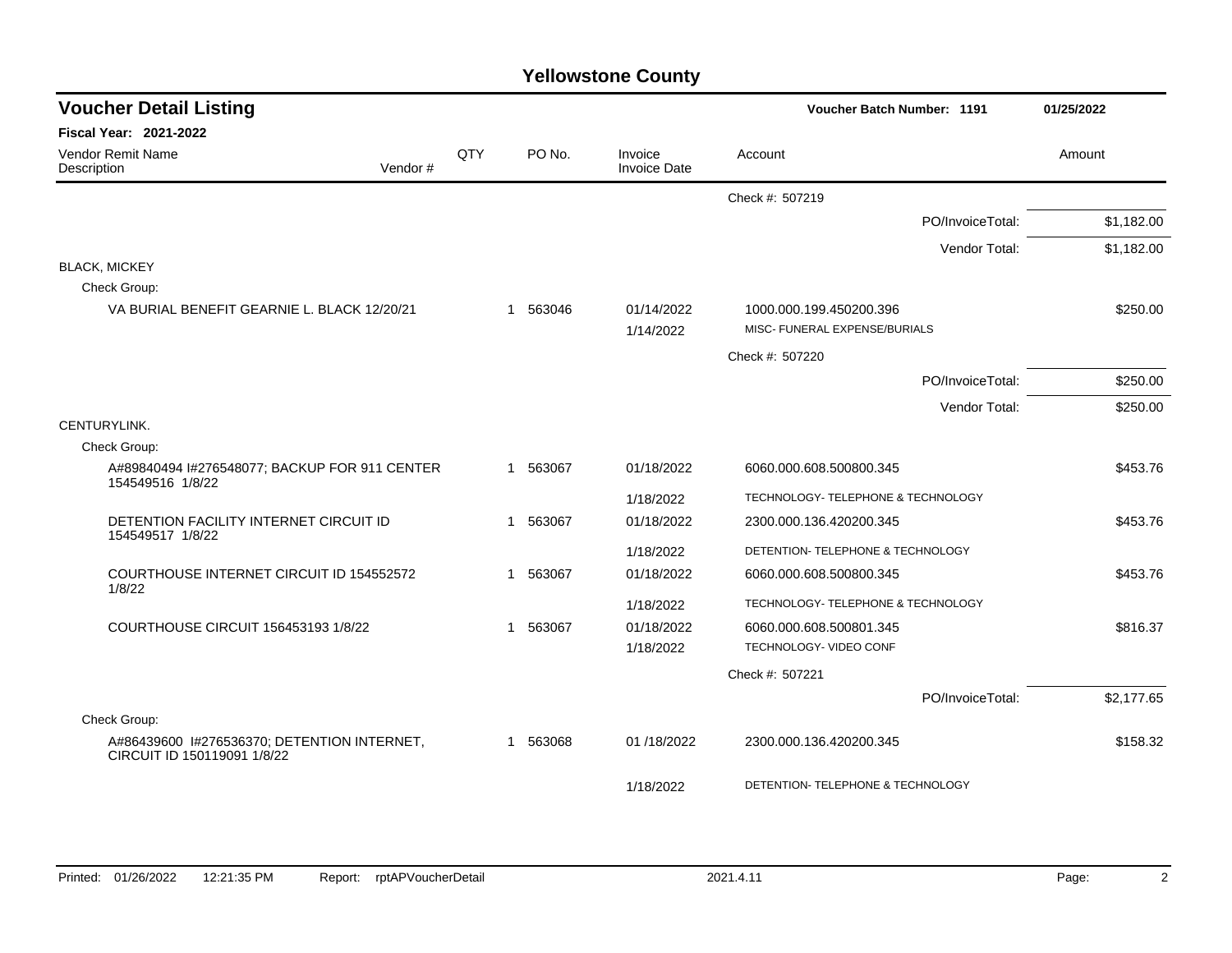| <b>Voucher Detail Listing</b>                                              |     |              |                                | Voucher Batch Number: 1191                               | 01/25/2022 |
|----------------------------------------------------------------------------|-----|--------------|--------------------------------|----------------------------------------------------------|------------|
| <b>Fiscal Year: 2021-2022</b>                                              |     |              |                                |                                                          |            |
| Vendor Remit Name<br>Description<br>Vendor#                                | QTY | PO No.       | Invoice<br><b>Invoice Date</b> | Account                                                  | Amount     |
|                                                                            |     |              |                                | Check #: 507219                                          |            |
|                                                                            |     |              |                                | PO/InvoiceTotal:                                         | \$1,182.00 |
|                                                                            |     |              |                                | Vendor Total:                                            | \$1,182.00 |
| <b>BLACK, MICKEY</b>                                                       |     |              |                                |                                                          |            |
| Check Group:                                                               |     |              |                                |                                                          |            |
| VA BURIAL BENEFIT GEARNIE L. BLACK 12/20/21                                |     | 563046<br>1  | 01/14/2022<br>1/14/2022        | 1000.000.199.450200.396<br>MISC- FUNERAL EXPENSE/BURIALS | \$250.00   |
|                                                                            |     |              |                                | Check #: 507220                                          |            |
|                                                                            |     |              |                                | PO/InvoiceTotal:                                         | \$250.00   |
|                                                                            |     |              |                                | Vendor Total:                                            | \$250.00   |
| CENTURYLINK.                                                               |     |              |                                |                                                          |            |
| Check Group:                                                               |     |              |                                |                                                          |            |
| A#89840494 I#276548077; BACKUP FOR 911 CENTER<br>154549516 1/8/22          |     | 563067<br>1  | 01/18/2022                     | 6060.000.608.500800.345                                  | \$453.76   |
|                                                                            |     |              | 1/18/2022                      | TECHNOLOGY- TELEPHONE & TECHNOLOGY                       |            |
| DETENTION FACILITY INTERNET CIRCUIT ID<br>154549517 1/8/22                 |     | 563067<br>-1 | 01/18/2022                     | 2300.000.136.420200.345                                  | \$453.76   |
|                                                                            |     |              | 1/18/2022                      | DETENTION- TELEPHONE & TECHNOLOGY                        |            |
| COURTHOUSE INTERNET CIRCUIT ID 154552572<br>1/8/22                         |     | 563067<br>1  | 01/18/2022                     | 6060.000.608.500800.345                                  | \$453.76   |
|                                                                            |     |              | 1/18/2022                      | TECHNOLOGY- TELEPHONE & TECHNOLOGY                       |            |
| COURTHOUSE CIRCUIT 156453193 1/8/22                                        |     | 563067<br>1  | 01/18/2022                     | 6060.000.608.500801.345                                  | \$816.37   |
|                                                                            |     |              | 1/18/2022                      | TECHNOLOGY- VIDEO CONF                                   |            |
|                                                                            |     |              |                                | Check #: 507221                                          |            |
|                                                                            |     |              |                                | PO/InvoiceTotal:                                         | \$2,177.65 |
| Check Group:                                                               |     |              |                                |                                                          |            |
| A#86439600 I#276536370; DETENTION INTERNET,<br>CIRCUIT ID 150119091 1/8/22 |     | 563068<br>-1 | 01 /18/2022                    | 2300.000.136.420200.345                                  | \$158.32   |
|                                                                            |     |              | 1/18/2022                      | DETENTION- TELEPHONE & TECHNOLOGY                        |            |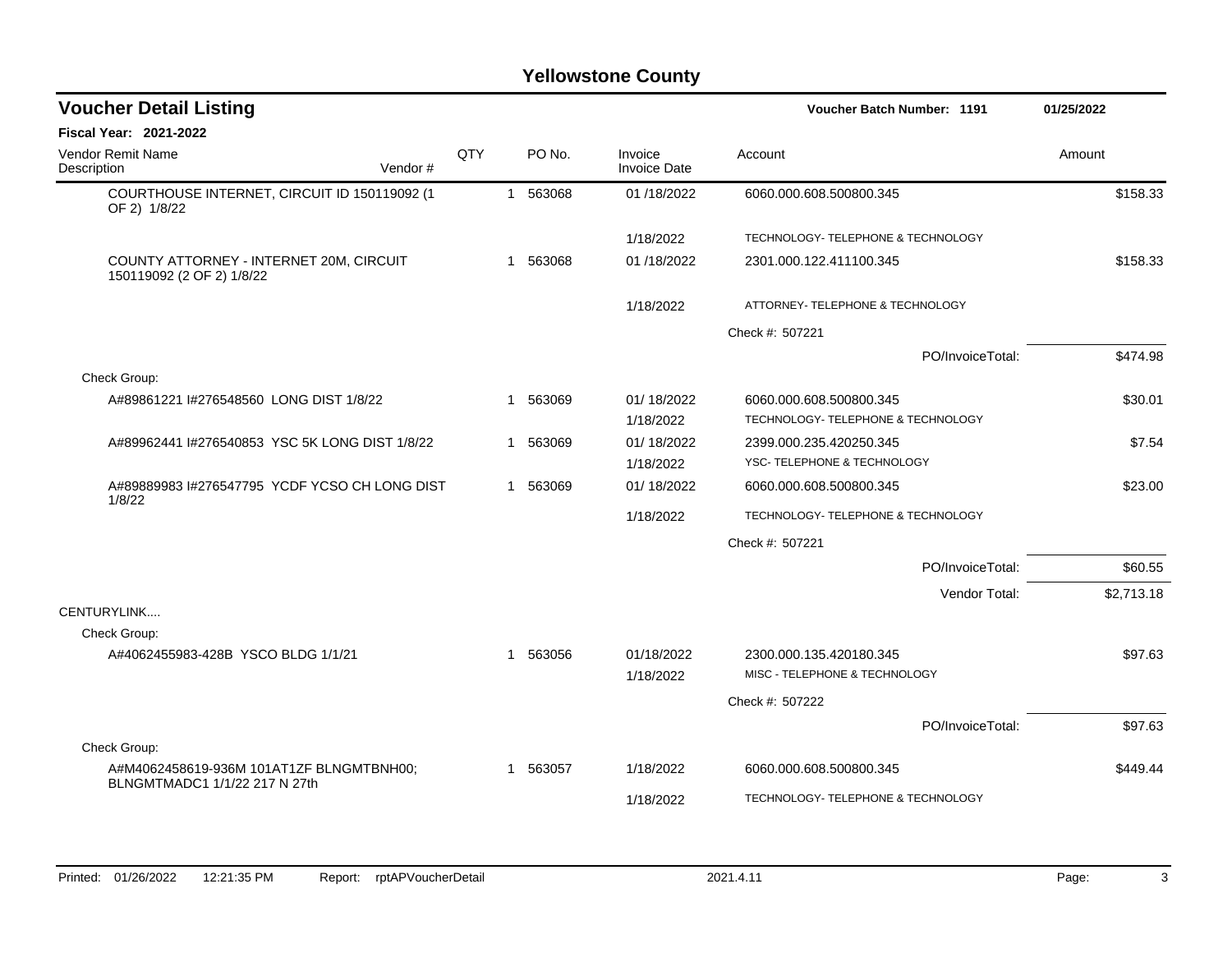| <b>Voucher Detail Listing</b>                                             |         |     |    |          |                                |                                                               | <b>Voucher Batch Number: 1191</b> | 01/25/2022 |
|---------------------------------------------------------------------------|---------|-----|----|----------|--------------------------------|---------------------------------------------------------------|-----------------------------------|------------|
| <b>Fiscal Year: 2021-2022</b>                                             |         |     |    |          |                                |                                                               |                                   |            |
| Vendor Remit Name<br>Description                                          | Vendor# | QTY |    | PO No.   | Invoice<br><b>Invoice Date</b> | Account                                                       |                                   | Amount     |
| COURTHOUSE INTERNET, CIRCUIT ID 150119092 (1<br>OF 2) 1/8/22              |         |     |    | 1 563068 | 01/18/2022                     | 6060.000.608.500800.345                                       |                                   | \$158.33   |
|                                                                           |         |     |    |          | 1/18/2022                      | TECHNOLOGY- TELEPHONE & TECHNOLOGY                            |                                   |            |
| COUNTY ATTORNEY - INTERNET 20M, CIRCUIT<br>150119092 (2 OF 2) 1/8/22      |         |     |    | 1 563068 | 01/18/2022                     | 2301.000.122.411100.345                                       |                                   | \$158.33   |
|                                                                           |         |     |    |          | 1/18/2022                      | ATTORNEY- TELEPHONE & TECHNOLOGY                              |                                   |            |
|                                                                           |         |     |    |          |                                | Check #: 507221                                               |                                   |            |
|                                                                           |         |     |    |          |                                |                                                               | PO/InvoiceTotal:                  | \$474.98   |
| Check Group:                                                              |         |     |    |          |                                |                                                               |                                   |            |
| A#89861221 I#276548560 LONG DIST 1/8/22                                   |         |     | -1 | 563069   | 01/18/2022<br>1/18/2022        | 6060.000.608.500800.345<br>TECHNOLOGY- TELEPHONE & TECHNOLOGY |                                   | \$30.01    |
| A#89962441 I#276540853 YSC 5K LONG DIST 1/8/22                            |         |     |    | 1 563069 | 01/18/2022                     | 2399.000.235.420250.345                                       |                                   | \$7.54     |
|                                                                           |         |     |    |          | 1/18/2022                      | YSC-TELEPHONE & TECHNOLOGY                                    |                                   |            |
| A#89889983 I#276547795 YCDF YCSO CH LONG DIST<br>1/8/22                   |         |     |    | 1 563069 | 01/18/2022                     | 6060.000.608.500800.345                                       |                                   | \$23.00    |
|                                                                           |         |     |    |          | 1/18/2022                      | TECHNOLOGY- TELEPHONE & TECHNOLOGY                            |                                   |            |
|                                                                           |         |     |    |          |                                | Check #: 507221                                               |                                   |            |
|                                                                           |         |     |    |          |                                |                                                               | PO/InvoiceTotal:                  | \$60.55    |
|                                                                           |         |     |    |          |                                |                                                               | Vendor Total:                     | \$2,713.18 |
| CENTURYLINK                                                               |         |     |    |          |                                |                                                               |                                   |            |
| Check Group:                                                              |         |     |    |          |                                |                                                               |                                   |            |
| A#4062455983-428B YSCO BLDG 1/1/21                                        |         |     |    | 1 563056 | 01/18/2022                     | 2300.000.135.420180.345<br>MISC - TELEPHONE & TECHNOLOGY      |                                   | \$97.63    |
|                                                                           |         |     |    |          | 1/18/2022                      |                                                               |                                   |            |
|                                                                           |         |     |    |          |                                | Check #: 507222                                               |                                   |            |
|                                                                           |         |     |    |          |                                |                                                               | PO/InvoiceTotal:                  | \$97.63    |
| Check Group:                                                              |         |     |    |          |                                |                                                               |                                   |            |
| A#M4062458619-936M 101AT1ZF BLNGMTBNH00;<br>BLNGMTMADC1 1/1/22 217 N 27th |         |     |    | 1 563057 | 1/18/2022                      | 6060.000.608.500800.345                                       |                                   | \$449.44   |
|                                                                           |         |     |    |          | 1/18/2022                      | TECHNOLOGY- TELEPHONE & TECHNOLOGY                            |                                   |            |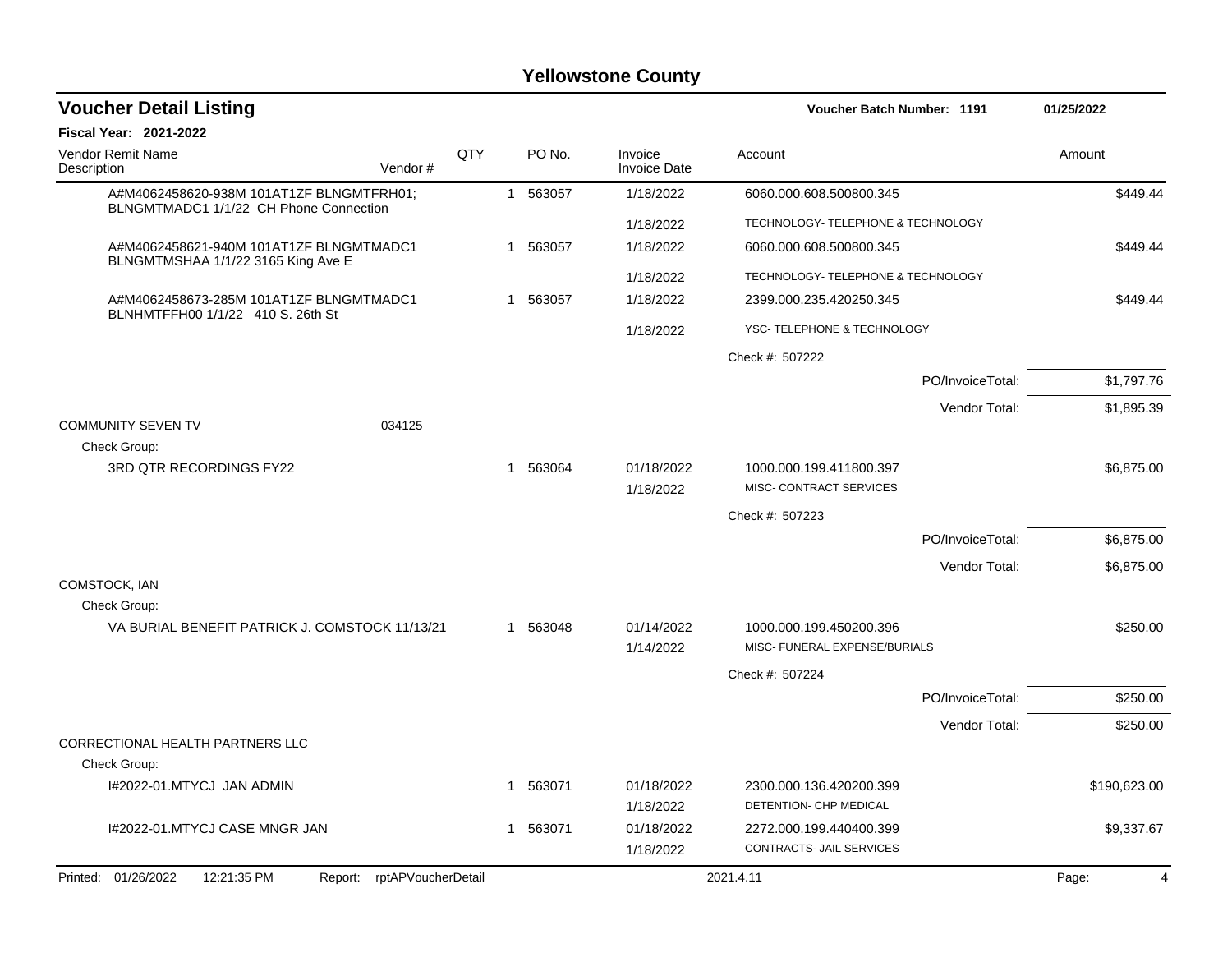| <b>Voucher Detail Listing</b>                                                      |     |          |                                |                                                          | Voucher Batch Number: 1191 |              |
|------------------------------------------------------------------------------------|-----|----------|--------------------------------|----------------------------------------------------------|----------------------------|--------------|
| <b>Fiscal Year: 2021-2022</b>                                                      |     |          |                                |                                                          |                            |              |
| <b>Vendor Remit Name</b><br>Description<br>Vendor#                                 | QTY | PO No.   | Invoice<br><b>Invoice Date</b> | Account                                                  |                            | Amount       |
| A#M4062458620-938M 101AT1ZF BLNGMTFRH01;<br>BLNGMTMADC1 1/1/22 CH Phone Connection |     | 1 563057 | 1/18/2022                      | 6060.000.608.500800.345                                  |                            | \$449.44     |
|                                                                                    |     |          | 1/18/2022                      | TECHNOLOGY- TELEPHONE & TECHNOLOGY                       |                            |              |
| A#M4062458621-940M 101AT1ZF BLNGMTMADC1<br>BLNGMTMSHAA 1/1/22 3165 King Ave E      |     | 1 563057 | 1/18/2022                      | 6060.000.608.500800.345                                  |                            | \$449.44     |
|                                                                                    |     |          | 1/18/2022                      | TECHNOLOGY- TELEPHONE & TECHNOLOGY                       |                            |              |
| A#M4062458673-285M 101AT1ZF BLNGMTMADC1<br>BLNHMTFFH00 1/1/22 410 S. 26th St       |     | 1 563057 | 1/18/2022                      | 2399.000.235.420250.345                                  |                            | \$449.44     |
|                                                                                    |     |          | 1/18/2022                      | YSC-TELEPHONE & TECHNOLOGY                               |                            |              |
|                                                                                    |     |          |                                | Check #: 507222                                          |                            |              |
|                                                                                    |     |          |                                |                                                          | PO/InvoiceTotal:           | \$1,797.76   |
|                                                                                    |     |          |                                |                                                          | Vendor Total:              | \$1,895.39   |
| <b>COMMUNITY SEVEN TV</b><br>034125                                                |     |          |                                |                                                          |                            |              |
| Check Group:                                                                       |     |          |                                |                                                          |                            |              |
| 3RD QTR RECORDINGS FY22                                                            |     | 1 563064 | 01/18/2022<br>1/18/2022        | 1000.000.199.411800.397<br>MISC- CONTRACT SERVICES       |                            | \$6,875.00   |
|                                                                                    |     |          |                                | Check #: 507223                                          |                            |              |
|                                                                                    |     |          |                                |                                                          | PO/InvoiceTotal:           | \$6,875.00   |
|                                                                                    |     |          |                                |                                                          | Vendor Total:              | \$6,875.00   |
| COMSTOCK, IAN                                                                      |     |          |                                |                                                          |                            |              |
| Check Group:                                                                       |     |          |                                |                                                          |                            |              |
| VA BURIAL BENEFIT PATRICK J. COMSTOCK 11/13/21                                     |     | 1 563048 | 01/14/2022<br>1/14/2022        | 1000.000.199.450200.396<br>MISC- FUNERAL EXPENSE/BURIALS |                            | \$250.00     |
|                                                                                    |     |          |                                | Check #: 507224                                          |                            |              |
|                                                                                    |     |          |                                |                                                          | PO/InvoiceTotal:           | \$250.00     |
|                                                                                    |     |          |                                |                                                          | Vendor Total:              | \$250.00     |
| CORRECTIONAL HEALTH PARTNERS LLC                                                   |     |          |                                |                                                          |                            |              |
| Check Group:                                                                       |     |          |                                |                                                          |                            |              |
| I#2022-01.MTYCJ JAN ADMIN                                                          |     | 1 563071 | 01/18/2022                     | 2300.000.136.420200.399                                  |                            | \$190,623.00 |
|                                                                                    |     |          | 1/18/2022                      | DETENTION- CHP MEDICAL                                   |                            |              |
| 1#2022-01.MTYCJ CASE MNGR JAN                                                      |     | 1 563071 | 01/18/2022<br>1/18/2022        | 2272.000.199.440400.399<br>CONTRACTS- JAIL SERVICES      |                            | \$9,337.67   |
|                                                                                    |     |          |                                |                                                          |                            |              |
| Printed: 01/26/2022<br>12:21:35 PM<br>Report: rptAPVoucherDetail                   |     |          |                                | 2021.4.11                                                |                            | Page:<br>4   |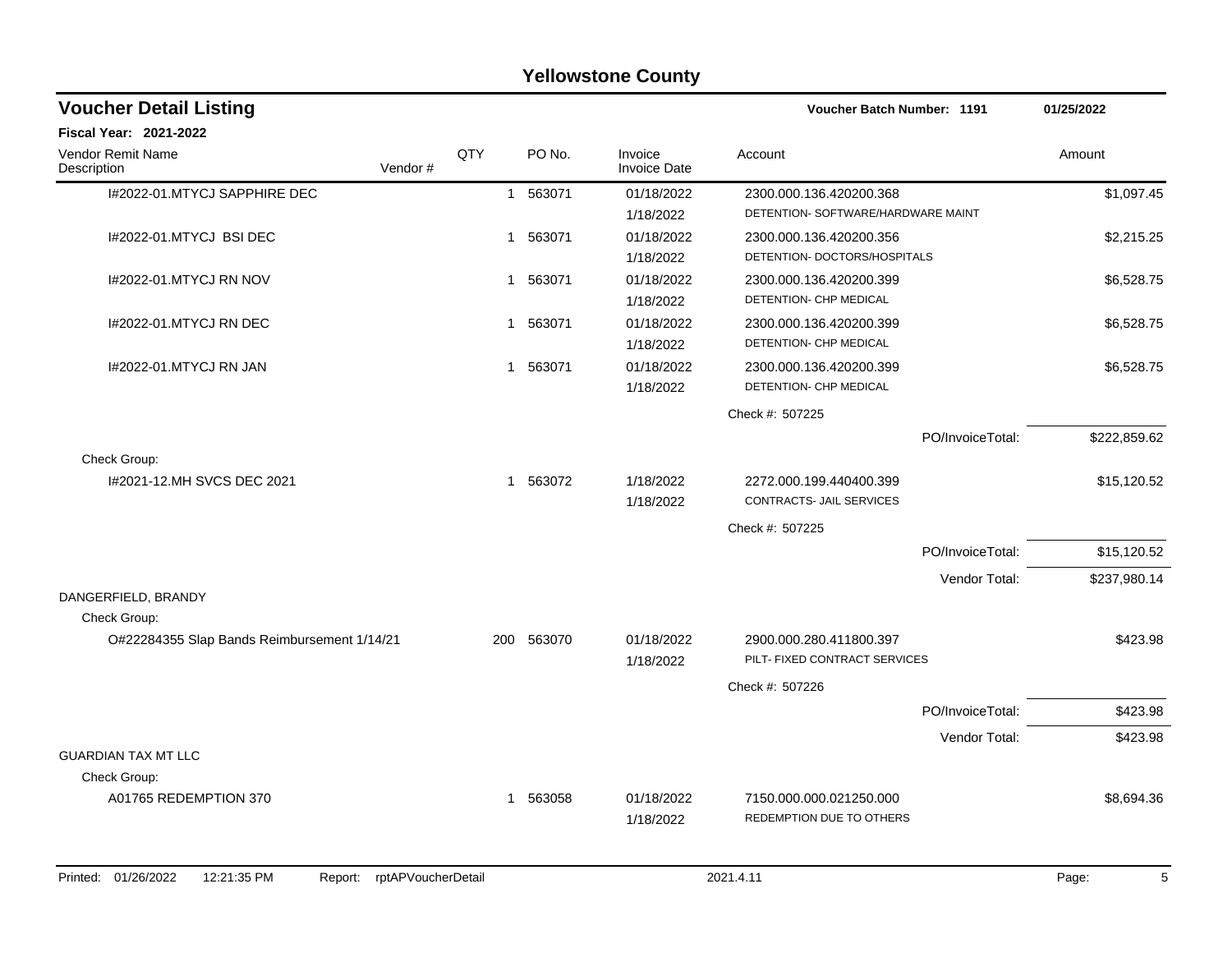|                                             |         |              |          | <b>Yellowstone County</b>      |                                                               |                  |              |
|---------------------------------------------|---------|--------------|----------|--------------------------------|---------------------------------------------------------------|------------------|--------------|
| <b>Voucher Detail Listing</b>               |         |              |          |                                | Voucher Batch Number: 1191                                    |                  | 01/25/2022   |
| <b>Fiscal Year: 2021-2022</b>               |         |              |          |                                |                                                               |                  |              |
| <b>Vendor Remit Name</b><br>Description     | Vendor# | QTY          | PO No.   | Invoice<br><b>Invoice Date</b> | Account                                                       |                  | Amount       |
| I#2022-01.MTYCJ SAPPHIRE DEC                |         |              | 1 563071 | 01/18/2022<br>1/18/2022        | 2300.000.136.420200.368<br>DETENTION- SOFTWARE/HARDWARE MAINT |                  | \$1,097.45   |
| I#2022-01.MTYCJ BSI DEC                     |         | $\mathbf{1}$ | 563071   | 01/18/2022<br>1/18/2022        | 2300.000.136.420200.356<br>DETENTION- DOCTORS/HOSPITALS       |                  | \$2,215.25   |
| I#2022-01.MTYCJ RN NOV                      |         |              | 1 563071 | 01/18/2022<br>1/18/2022        | 2300.000.136.420200.399<br>DETENTION- CHP MEDICAL             |                  | \$6,528.75   |
| I#2022-01.MTYCJ RN DEC                      |         |              | 1 563071 | 01/18/2022<br>1/18/2022        | 2300.000.136.420200.399<br>DETENTION- CHP MEDICAL             |                  | \$6,528.75   |
| 1#2022-01.MTYCJ RN JAN                      |         |              | 1 563071 | 01/18/2022<br>1/18/2022        | 2300.000.136.420200.399<br>DETENTION- CHP MEDICAL             |                  | \$6,528.75   |
|                                             |         |              |          |                                | Check #: 507225                                               |                  |              |
|                                             |         |              |          |                                |                                                               | PO/InvoiceTotal: | \$222,859.62 |
| Check Group:                                |         |              |          |                                |                                                               |                  |              |
| I#2021-12.MH SVCS DEC 2021                  |         |              | 1 563072 | 1/18/2022<br>1/18/2022         | 2272.000.199.440400.399<br>CONTRACTS- JAIL SERVICES           |                  | \$15,120.52  |
|                                             |         |              |          |                                | Check #: 507225                                               |                  |              |
|                                             |         |              |          |                                |                                                               | PO/InvoiceTotal: | \$15,120.52  |
|                                             |         |              |          |                                |                                                               | Vendor Total:    | \$237,980.14 |
| DANGERFIELD, BRANDY                         |         |              |          |                                |                                                               |                  |              |
| Check Group:                                |         |              |          |                                |                                                               |                  |              |
| O#22284355 Slap Bands Reimbursement 1/14/21 |         | 200          | 563070   | 01/18/2022<br>1/18/2022        | 2900.000.280.411800.397<br>PILT- FIXED CONTRACT SERVICES      |                  | \$423.98     |
|                                             |         |              |          |                                | Check #: 507226                                               |                  |              |
|                                             |         |              |          |                                |                                                               | PO/InvoiceTotal: | \$423.98     |
|                                             |         |              |          |                                |                                                               | Vendor Total:    | \$423.98     |
| <b>GUARDIAN TAX MT LLC</b>                  |         |              |          |                                |                                                               |                  |              |
| Check Group:                                |         |              |          |                                |                                                               |                  |              |
| A01765 REDEMPTION 370                       |         |              | 1 563058 | 01/18/2022<br>1/18/2022        | 7150.000.000.021250.000<br>REDEMPTION DUE TO OTHERS           |                  | \$8,694.36   |
|                                             |         |              |          |                                |                                                               |                  |              |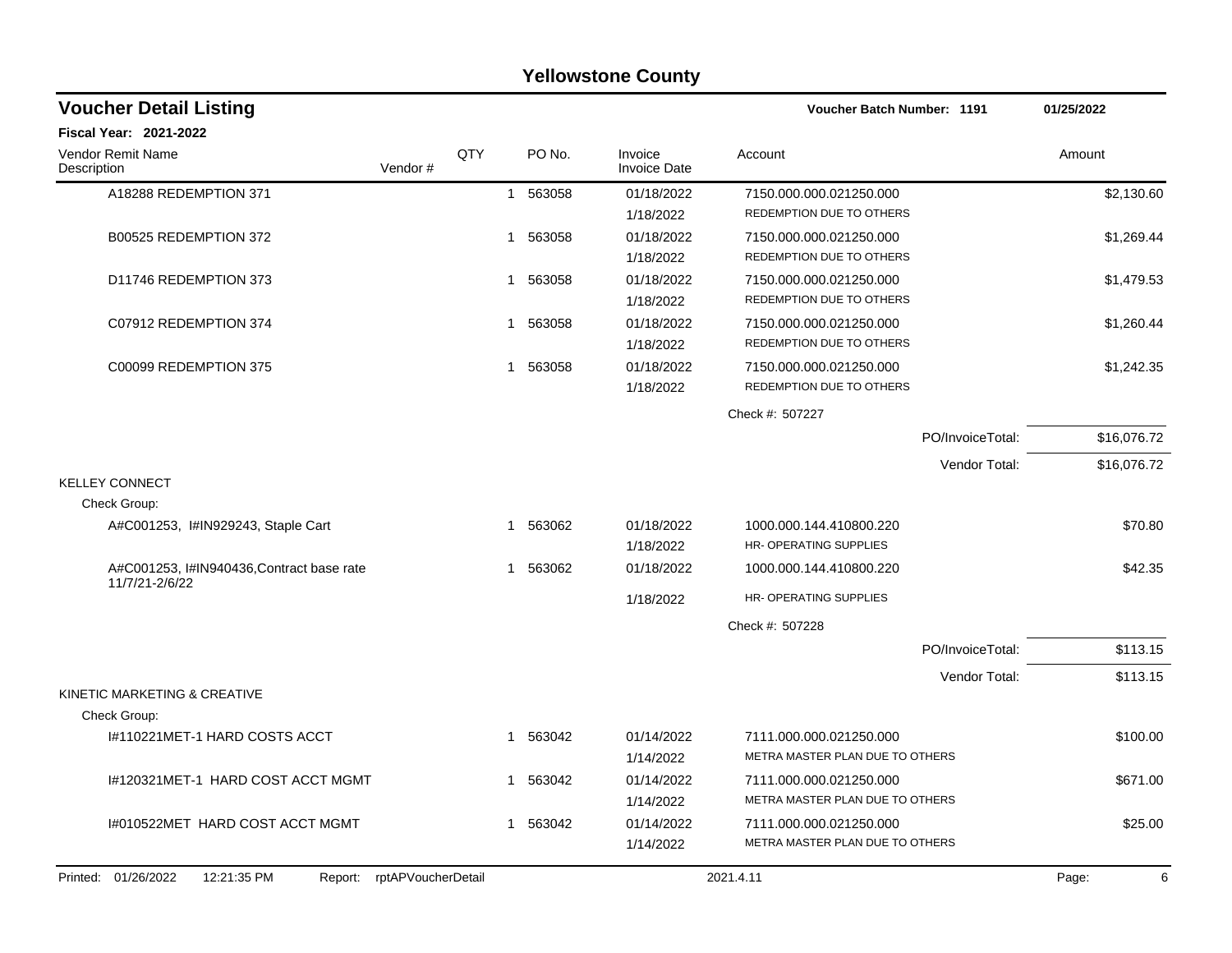| <b>Fiscal Year: 2021-2022</b><br>Vendor Remit Name<br>QTY<br>PO No.<br>Invoice<br>Amount<br>Account<br>Description<br>Vendor#<br><b>Invoice Date</b><br>A18288 REDEMPTION 371<br>1 563058<br>01/18/2022<br>7150.000.000.021250.000<br>REDEMPTION DUE TO OTHERS<br>1/18/2022<br>B00525 REDEMPTION 372<br>563058<br>01/18/2022<br>7150.000.000.021250.000<br>$\mathbf 1$<br>REDEMPTION DUE TO OTHERS<br>1/18/2022<br>D11746 REDEMPTION 373<br>01/18/2022<br>563058<br>7150.000.000.021250.000<br>1<br>REDEMPTION DUE TO OTHERS<br>1/18/2022<br>C07912 REDEMPTION 374<br>563058<br>01/18/2022<br>7150.000.000.021250.000<br>1<br>REDEMPTION DUE TO OTHERS<br>1/18/2022<br>C00099 REDEMPTION 375<br>563058<br>01/18/2022<br>7150.000.000.021250.000<br>$\mathbf 1$<br>REDEMPTION DUE TO OTHERS<br>1/18/2022<br>Check #: 507227<br>PO/InvoiceTotal:<br>Vendor Total:<br><b>KELLEY CONNECT</b><br>Check Group:<br>A#C001253, I#IN929243, Staple Cart<br>1 563062<br>01/18/2022<br>1000.000.144.410800.220<br>HR- OPERATING SUPPLIES<br>1/18/2022<br>A#C001253, I#IN940436, Contract base rate<br>1 563062<br>01/18/2022<br>1000.000.144.410800.220<br>11/7/21-2/6/22<br>HR- OPERATING SUPPLIES<br>1/18/2022<br>Check #: 507228<br>PO/InvoiceTotal:<br>Vendor Total:<br>KINETIC MARKETING & CREATIVE<br>Check Group:<br>I#110221MET-1 HARD COSTS ACCT<br>563042<br>01/14/2022<br>7111.000.000.021250.000<br>$\mathbf{1}$<br>METRA MASTER PLAN DUE TO OTHERS<br>1/14/2022<br>563042<br>01/14/2022<br>I#120321MET-1 HARD COST ACCT MGMT<br>7111.000.000.021250.000<br>1<br>1/14/2022<br>METRA MASTER PLAN DUE TO OTHERS<br>I#010522MET HARD COST ACCT MGMT<br>563042<br>01/14/2022<br>7111.000.000.021250.000<br>$\mathbf 1$<br>1/14/2022<br>METRA MASTER PLAN DUE TO OTHERS<br>Report: rptAPVoucherDetail | <b>Voucher Detail Listing</b>      |  |  | Voucher Batch Number: 1191 | 01/25/2022  |
|---------------------------------------------------------------------------------------------------------------------------------------------------------------------------------------------------------------------------------------------------------------------------------------------------------------------------------------------------------------------------------------------------------------------------------------------------------------------------------------------------------------------------------------------------------------------------------------------------------------------------------------------------------------------------------------------------------------------------------------------------------------------------------------------------------------------------------------------------------------------------------------------------------------------------------------------------------------------------------------------------------------------------------------------------------------------------------------------------------------------------------------------------------------------------------------------------------------------------------------------------------------------------------------------------------------------------------------------------------------------------------------------------------------------------------------------------------------------------------------------------------------------------------------------------------------------------------------------------------------------------------------------------------------------------------------------------------------------------------------------------------------------------------------------------|------------------------------------|--|--|----------------------------|-------------|
|                                                                                                                                                                                                                                                                                                                                                                                                                                                                                                                                                                                                                                                                                                                                                                                                                                                                                                                                                                                                                                                                                                                                                                                                                                                                                                                                                                                                                                                                                                                                                                                                                                                                                                                                                                                                   |                                    |  |  |                            |             |
|                                                                                                                                                                                                                                                                                                                                                                                                                                                                                                                                                                                                                                                                                                                                                                                                                                                                                                                                                                                                                                                                                                                                                                                                                                                                                                                                                                                                                                                                                                                                                                                                                                                                                                                                                                                                   |                                    |  |  |                            |             |
|                                                                                                                                                                                                                                                                                                                                                                                                                                                                                                                                                                                                                                                                                                                                                                                                                                                                                                                                                                                                                                                                                                                                                                                                                                                                                                                                                                                                                                                                                                                                                                                                                                                                                                                                                                                                   |                                    |  |  |                            | \$2,130.60  |
|                                                                                                                                                                                                                                                                                                                                                                                                                                                                                                                                                                                                                                                                                                                                                                                                                                                                                                                                                                                                                                                                                                                                                                                                                                                                                                                                                                                                                                                                                                                                                                                                                                                                                                                                                                                                   |                                    |  |  |                            |             |
|                                                                                                                                                                                                                                                                                                                                                                                                                                                                                                                                                                                                                                                                                                                                                                                                                                                                                                                                                                                                                                                                                                                                                                                                                                                                                                                                                                                                                                                                                                                                                                                                                                                                                                                                                                                                   |                                    |  |  |                            | \$1,269.44  |
|                                                                                                                                                                                                                                                                                                                                                                                                                                                                                                                                                                                                                                                                                                                                                                                                                                                                                                                                                                                                                                                                                                                                                                                                                                                                                                                                                                                                                                                                                                                                                                                                                                                                                                                                                                                                   |                                    |  |  |                            |             |
|                                                                                                                                                                                                                                                                                                                                                                                                                                                                                                                                                                                                                                                                                                                                                                                                                                                                                                                                                                                                                                                                                                                                                                                                                                                                                                                                                                                                                                                                                                                                                                                                                                                                                                                                                                                                   |                                    |  |  |                            | \$1,479.53  |
|                                                                                                                                                                                                                                                                                                                                                                                                                                                                                                                                                                                                                                                                                                                                                                                                                                                                                                                                                                                                                                                                                                                                                                                                                                                                                                                                                                                                                                                                                                                                                                                                                                                                                                                                                                                                   |                                    |  |  |                            |             |
|                                                                                                                                                                                                                                                                                                                                                                                                                                                                                                                                                                                                                                                                                                                                                                                                                                                                                                                                                                                                                                                                                                                                                                                                                                                                                                                                                                                                                                                                                                                                                                                                                                                                                                                                                                                                   |                                    |  |  |                            | \$1,260.44  |
|                                                                                                                                                                                                                                                                                                                                                                                                                                                                                                                                                                                                                                                                                                                                                                                                                                                                                                                                                                                                                                                                                                                                                                                                                                                                                                                                                                                                                                                                                                                                                                                                                                                                                                                                                                                                   |                                    |  |  |                            |             |
|                                                                                                                                                                                                                                                                                                                                                                                                                                                                                                                                                                                                                                                                                                                                                                                                                                                                                                                                                                                                                                                                                                                                                                                                                                                                                                                                                                                                                                                                                                                                                                                                                                                                                                                                                                                                   |                                    |  |  |                            | \$1,242.35  |
|                                                                                                                                                                                                                                                                                                                                                                                                                                                                                                                                                                                                                                                                                                                                                                                                                                                                                                                                                                                                                                                                                                                                                                                                                                                                                                                                                                                                                                                                                                                                                                                                                                                                                                                                                                                                   |                                    |  |  |                            |             |
|                                                                                                                                                                                                                                                                                                                                                                                                                                                                                                                                                                                                                                                                                                                                                                                                                                                                                                                                                                                                                                                                                                                                                                                                                                                                                                                                                                                                                                                                                                                                                                                                                                                                                                                                                                                                   |                                    |  |  |                            |             |
|                                                                                                                                                                                                                                                                                                                                                                                                                                                                                                                                                                                                                                                                                                                                                                                                                                                                                                                                                                                                                                                                                                                                                                                                                                                                                                                                                                                                                                                                                                                                                                                                                                                                                                                                                                                                   |                                    |  |  |                            | \$16,076.72 |
|                                                                                                                                                                                                                                                                                                                                                                                                                                                                                                                                                                                                                                                                                                                                                                                                                                                                                                                                                                                                                                                                                                                                                                                                                                                                                                                                                                                                                                                                                                                                                                                                                                                                                                                                                                                                   |                                    |  |  |                            | \$16,076.72 |
|                                                                                                                                                                                                                                                                                                                                                                                                                                                                                                                                                                                                                                                                                                                                                                                                                                                                                                                                                                                                                                                                                                                                                                                                                                                                                                                                                                                                                                                                                                                                                                                                                                                                                                                                                                                                   |                                    |  |  |                            |             |
|                                                                                                                                                                                                                                                                                                                                                                                                                                                                                                                                                                                                                                                                                                                                                                                                                                                                                                                                                                                                                                                                                                                                                                                                                                                                                                                                                                                                                                                                                                                                                                                                                                                                                                                                                                                                   |                                    |  |  |                            |             |
|                                                                                                                                                                                                                                                                                                                                                                                                                                                                                                                                                                                                                                                                                                                                                                                                                                                                                                                                                                                                                                                                                                                                                                                                                                                                                                                                                                                                                                                                                                                                                                                                                                                                                                                                                                                                   |                                    |  |  |                            | \$70.80     |
|                                                                                                                                                                                                                                                                                                                                                                                                                                                                                                                                                                                                                                                                                                                                                                                                                                                                                                                                                                                                                                                                                                                                                                                                                                                                                                                                                                                                                                                                                                                                                                                                                                                                                                                                                                                                   |                                    |  |  |                            |             |
|                                                                                                                                                                                                                                                                                                                                                                                                                                                                                                                                                                                                                                                                                                                                                                                                                                                                                                                                                                                                                                                                                                                                                                                                                                                                                                                                                                                                                                                                                                                                                                                                                                                                                                                                                                                                   |                                    |  |  |                            | \$42.35     |
|                                                                                                                                                                                                                                                                                                                                                                                                                                                                                                                                                                                                                                                                                                                                                                                                                                                                                                                                                                                                                                                                                                                                                                                                                                                                                                                                                                                                                                                                                                                                                                                                                                                                                                                                                                                                   |                                    |  |  |                            |             |
|                                                                                                                                                                                                                                                                                                                                                                                                                                                                                                                                                                                                                                                                                                                                                                                                                                                                                                                                                                                                                                                                                                                                                                                                                                                                                                                                                                                                                                                                                                                                                                                                                                                                                                                                                                                                   |                                    |  |  |                            |             |
|                                                                                                                                                                                                                                                                                                                                                                                                                                                                                                                                                                                                                                                                                                                                                                                                                                                                                                                                                                                                                                                                                                                                                                                                                                                                                                                                                                                                                                                                                                                                                                                                                                                                                                                                                                                                   |                                    |  |  |                            | \$113.15    |
|                                                                                                                                                                                                                                                                                                                                                                                                                                                                                                                                                                                                                                                                                                                                                                                                                                                                                                                                                                                                                                                                                                                                                                                                                                                                                                                                                                                                                                                                                                                                                                                                                                                                                                                                                                                                   |                                    |  |  |                            | \$113.15    |
|                                                                                                                                                                                                                                                                                                                                                                                                                                                                                                                                                                                                                                                                                                                                                                                                                                                                                                                                                                                                                                                                                                                                                                                                                                                                                                                                                                                                                                                                                                                                                                                                                                                                                                                                                                                                   |                                    |  |  |                            |             |
|                                                                                                                                                                                                                                                                                                                                                                                                                                                                                                                                                                                                                                                                                                                                                                                                                                                                                                                                                                                                                                                                                                                                                                                                                                                                                                                                                                                                                                                                                                                                                                                                                                                                                                                                                                                                   |                                    |  |  |                            |             |
|                                                                                                                                                                                                                                                                                                                                                                                                                                                                                                                                                                                                                                                                                                                                                                                                                                                                                                                                                                                                                                                                                                                                                                                                                                                                                                                                                                                                                                                                                                                                                                                                                                                                                                                                                                                                   |                                    |  |  |                            | \$100.00    |
|                                                                                                                                                                                                                                                                                                                                                                                                                                                                                                                                                                                                                                                                                                                                                                                                                                                                                                                                                                                                                                                                                                                                                                                                                                                                                                                                                                                                                                                                                                                                                                                                                                                                                                                                                                                                   |                                    |  |  |                            |             |
|                                                                                                                                                                                                                                                                                                                                                                                                                                                                                                                                                                                                                                                                                                                                                                                                                                                                                                                                                                                                                                                                                                                                                                                                                                                                                                                                                                                                                                                                                                                                                                                                                                                                                                                                                                                                   |                                    |  |  |                            | \$671.00    |
|                                                                                                                                                                                                                                                                                                                                                                                                                                                                                                                                                                                                                                                                                                                                                                                                                                                                                                                                                                                                                                                                                                                                                                                                                                                                                                                                                                                                                                                                                                                                                                                                                                                                                                                                                                                                   |                                    |  |  |                            |             |
|                                                                                                                                                                                                                                                                                                                                                                                                                                                                                                                                                                                                                                                                                                                                                                                                                                                                                                                                                                                                                                                                                                                                                                                                                                                                                                                                                                                                                                                                                                                                                                                                                                                                                                                                                                                                   |                                    |  |  |                            | \$25.00     |
|                                                                                                                                                                                                                                                                                                                                                                                                                                                                                                                                                                                                                                                                                                                                                                                                                                                                                                                                                                                                                                                                                                                                                                                                                                                                                                                                                                                                                                                                                                                                                                                                                                                                                                                                                                                                   |                                    |  |  |                            |             |
|                                                                                                                                                                                                                                                                                                                                                                                                                                                                                                                                                                                                                                                                                                                                                                                                                                                                                                                                                                                                                                                                                                                                                                                                                                                                                                                                                                                                                                                                                                                                                                                                                                                                                                                                                                                                   | Printed: 01/26/2022<br>12:21:35 PM |  |  | 2021.4.11                  | Page:<br>6  |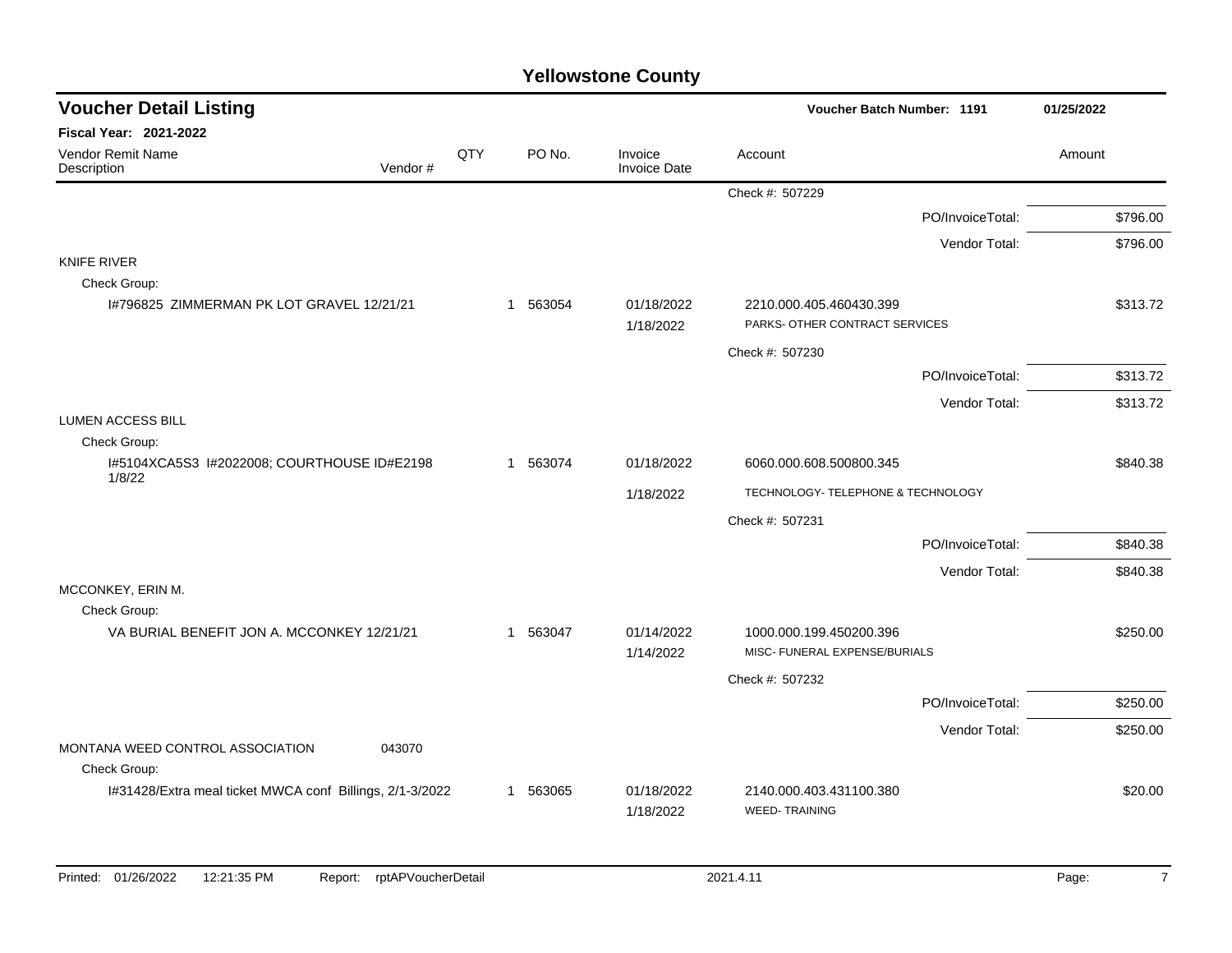| <b>Voucher Detail Listing</b>                             |         |     |          |                                | Voucher Batch Number: 1191                                |                  | 01/25/2022 |
|-----------------------------------------------------------|---------|-----|----------|--------------------------------|-----------------------------------------------------------|------------------|------------|
| <b>Fiscal Year: 2021-2022</b>                             |         |     |          |                                |                                                           |                  |            |
| <b>Vendor Remit Name</b><br>Description                   | Vendor# | QTY | PO No.   | Invoice<br><b>Invoice Date</b> | Account                                                   |                  | Amount     |
|                                                           |         |     |          |                                | Check #: 507229                                           |                  |            |
|                                                           |         |     |          |                                |                                                           | PO/InvoiceTotal: | \$796.00   |
|                                                           |         |     |          |                                |                                                           | Vendor Total:    | \$796.00   |
| <b>KNIFE RIVER</b>                                        |         |     |          |                                |                                                           |                  |            |
| Check Group:<br>1#796825 ZIMMERMAN PK LOT GRAVEL 12/21/21 |         |     | 1 563054 | 01/18/2022<br>1/18/2022        | 2210.000.405.460430.399<br>PARKS- OTHER CONTRACT SERVICES |                  | \$313.72   |
|                                                           |         |     |          |                                | Check #: 507230                                           |                  |            |
|                                                           |         |     |          |                                |                                                           | PO/InvoiceTotal: | \$313.72   |
|                                                           |         |     |          |                                |                                                           | Vendor Total:    | \$313.72   |
| <b>LUMEN ACCESS BILL</b><br>Check Group:                  |         |     |          |                                |                                                           |                  |            |
| I#5104XCA5S3 I#2022008; COURTHOUSE ID#E2198<br>1/8/22     |         |     | 1 563074 | 01/18/2022                     | 6060.000.608.500800.345                                   |                  | \$840.38   |
|                                                           |         |     |          | 1/18/2022                      | TECHNOLOGY- TELEPHONE & TECHNOLOGY                        |                  |            |
|                                                           |         |     |          |                                | Check #: 507231                                           |                  |            |
|                                                           |         |     |          |                                |                                                           | PO/InvoiceTotal: | \$840.38   |
|                                                           |         |     |          |                                |                                                           | Vendor Total:    | \$840.38   |
| MCCONKEY, ERIN M.<br>Check Group:                         |         |     |          |                                |                                                           |                  |            |
| VA BURIAL BENEFIT JON A. MCCONKEY 12/21/21                |         |     | 1 563047 | 01/14/2022<br>1/14/2022        | 1000.000.199.450200.396<br>MISC- FUNERAL EXPENSE/BURIALS  |                  | \$250.00   |
|                                                           |         |     |          |                                | Check #: 507232                                           |                  |            |
|                                                           |         |     |          |                                |                                                           | PO/InvoiceTotal: | \$250.00   |
|                                                           |         |     |          |                                |                                                           | Vendor Total:    | \$250.00   |
| MONTANA WEED CONTROL ASSOCIATION<br>Check Group:          | 043070  |     |          |                                |                                                           |                  |            |
| I#31428/Extra meal ticket MWCA conf Billings, 2/1-3/2022  |         |     | 1 563065 | 01/18/2022                     | 2140.000.403.431100.380                                   |                  | \$20.00    |
|                                                           |         |     |          | 1/18/2022                      | <b>WEED-TRAINING</b>                                      |                  |            |
|                                                           |         |     |          |                                |                                                           |                  |            |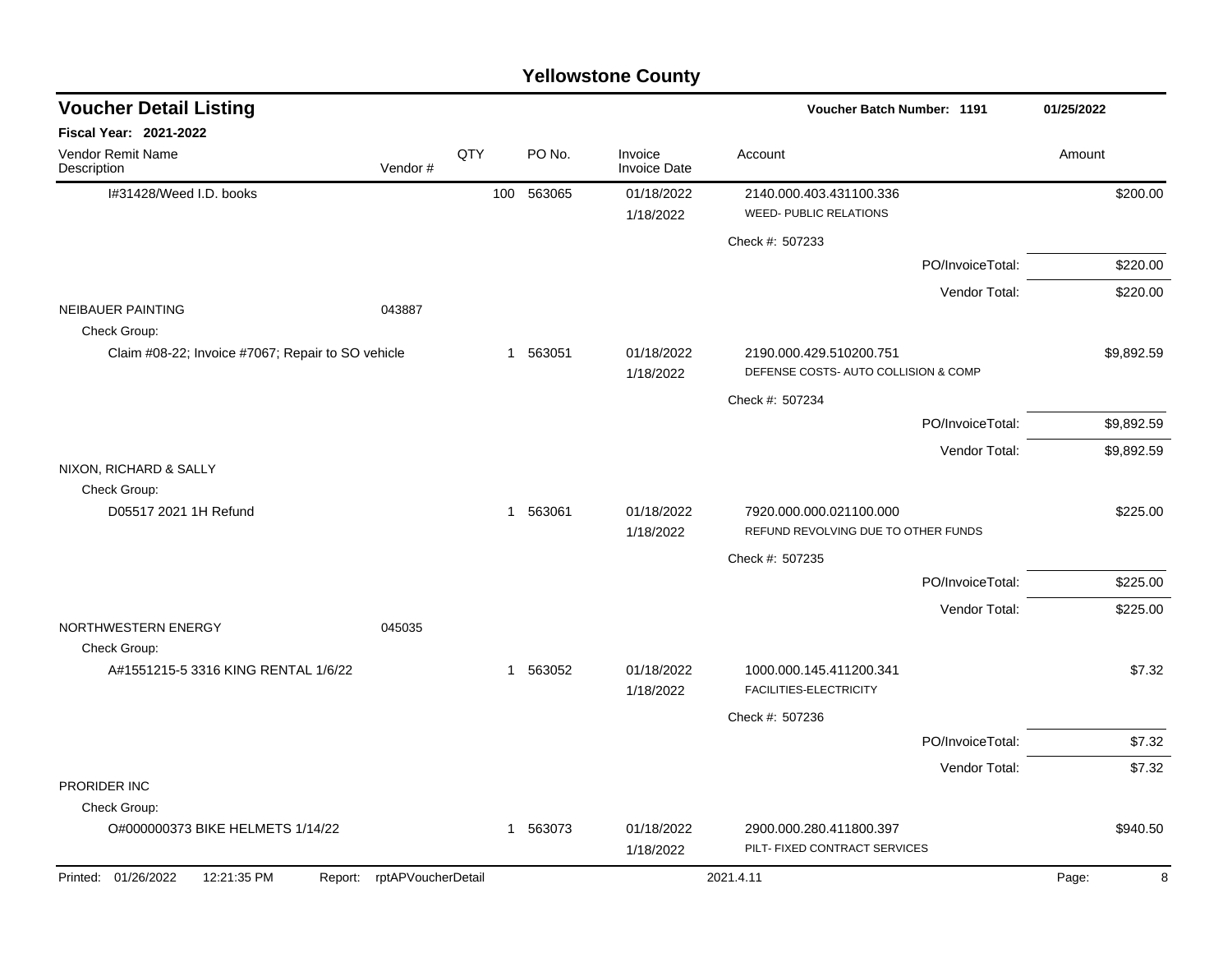| <b>Voucher Detail Listing</b>                     |                            |              |          |                                | 01/25/2022                                                      |                  |            |
|---------------------------------------------------|----------------------------|--------------|----------|--------------------------------|-----------------------------------------------------------------|------------------|------------|
| Fiscal Year: 2021-2022                            |                            |              |          |                                |                                                                 |                  |            |
| Vendor Remit Name<br>Description                  | Vendor#                    | QTY          | PO No.   | Invoice<br><b>Invoice Date</b> | Account                                                         |                  | Amount     |
| I#31428/Weed I.D. books                           |                            | 100          | 563065   | 01/18/2022                     | 2140.000.403.431100.336                                         |                  | \$200.00   |
|                                                   |                            |              |          | 1/18/2022                      | <b>WEED- PUBLIC RELATIONS</b>                                   |                  |            |
|                                                   |                            |              |          |                                | Check #: 507233                                                 |                  |            |
|                                                   |                            |              |          |                                |                                                                 | PO/InvoiceTotal: | \$220.00   |
|                                                   |                            |              |          |                                |                                                                 | Vendor Total:    | \$220.00   |
| <b>NEIBAUER PAINTING</b><br>Check Group:          | 043887                     |              |          |                                |                                                                 |                  |            |
| Claim #08-22; Invoice #7067; Repair to SO vehicle |                            |              | 1 563051 | 01/18/2022<br>1/18/2022        | 2190.000.429.510200.751<br>DEFENSE COSTS- AUTO COLLISION & COMP |                  | \$9,892.59 |
|                                                   |                            |              |          |                                | Check #: 507234                                                 |                  |            |
|                                                   |                            |              |          |                                |                                                                 | PO/InvoiceTotal: | \$9,892.59 |
|                                                   |                            |              |          |                                |                                                                 | Vendor Total:    | \$9,892.59 |
| NIXON, RICHARD & SALLY<br>Check Group:            |                            |              |          |                                |                                                                 |                  |            |
| D05517 2021 1H Refund                             |                            |              | 1 563061 | 01/18/2022<br>1/18/2022        | 7920.000.000.021100.000<br>REFUND REVOLVING DUE TO OTHER FUNDS  |                  | \$225.00   |
|                                                   |                            |              |          |                                |                                                                 |                  |            |
|                                                   |                            |              |          |                                | Check #: 507235                                                 | PO/InvoiceTotal: |            |
|                                                   |                            |              |          |                                |                                                                 |                  | \$225.00   |
| NORTHWESTERN ENERGY<br>Check Group:               | 045035                     |              |          |                                |                                                                 | Vendor Total:    | \$225.00   |
| A#1551215-5 3316 KING RENTAL 1/6/22               |                            | $\mathbf{1}$ | 563052   | 01/18/2022<br>1/18/2022        | 1000.000.145.411200.341<br>FACILITIES-ELECTRICITY               |                  | \$7.32     |
|                                                   |                            |              |          |                                | Check #: 507236                                                 |                  |            |
|                                                   |                            |              |          |                                |                                                                 | PO/InvoiceTotal: | \$7.32     |
|                                                   |                            |              |          |                                |                                                                 | Vendor Total:    | \$7.32     |
| PRORIDER INC                                      |                            |              |          |                                |                                                                 |                  |            |
| Check Group:                                      |                            |              |          |                                |                                                                 |                  |            |
| O#000000373 BIKE HELMETS 1/14/22                  |                            | 1            | 563073   | 01/18/2022<br>1/18/2022        | 2900.000.280.411800.397<br>PILT- FIXED CONTRACT SERVICES        |                  | \$940.50   |
| Printed: 01/26/2022<br>12:21:35 PM                | Report: rptAPVoucherDetail |              |          |                                | 2021.4.11                                                       |                  | Page:<br>8 |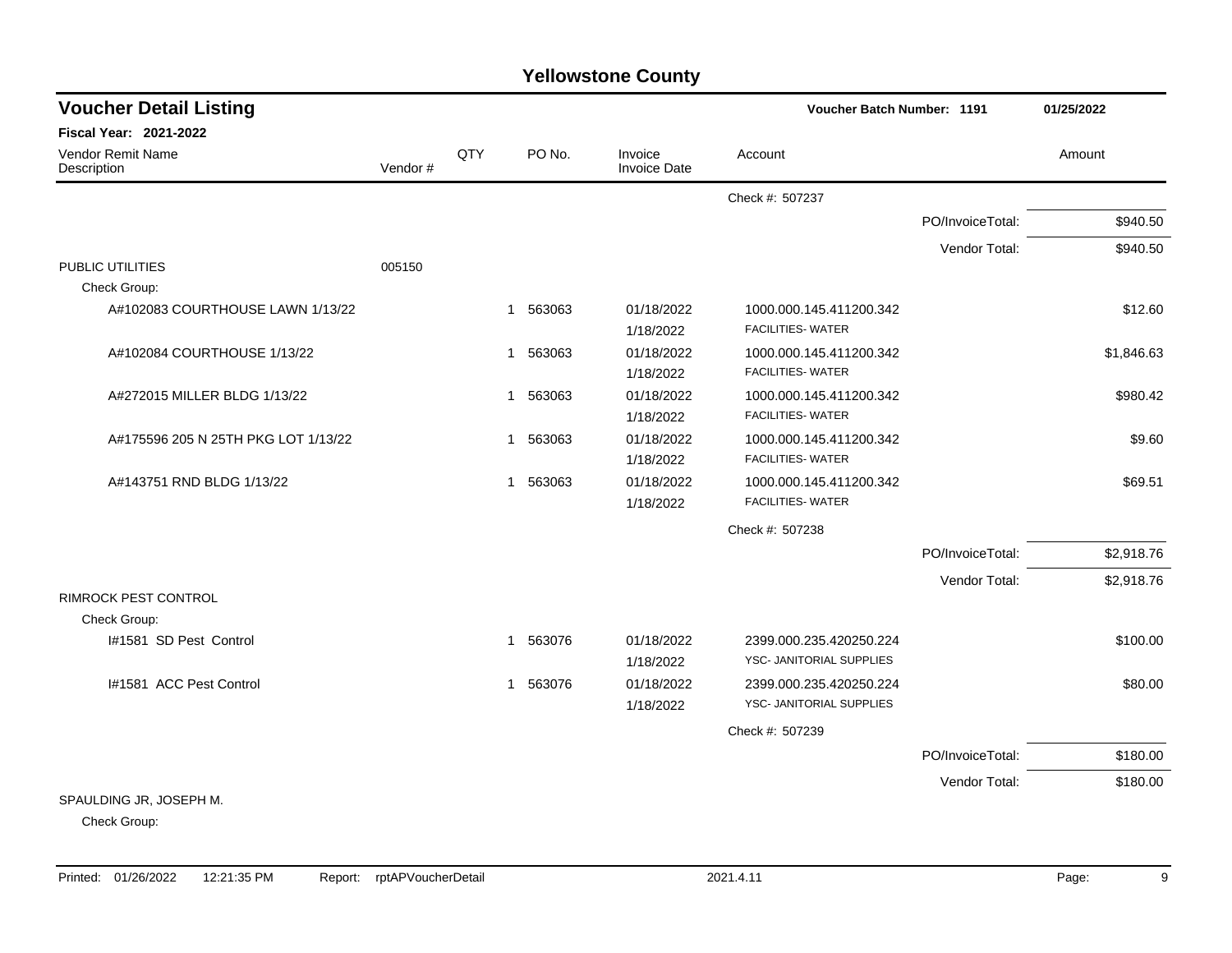| <b>Voucher Detail Listing</b>           |         |     |                       |                                | <b>Voucher Batch Number: 1191</b>                   |                  | 01/25/2022 |
|-----------------------------------------|---------|-----|-----------------------|--------------------------------|-----------------------------------------------------|------------------|------------|
| Fiscal Year: 2021-2022                  |         |     |                       |                                |                                                     |                  |            |
| <b>Vendor Remit Name</b><br>Description | Vendor# | QTY | PO No.                | Invoice<br><b>Invoice Date</b> | Account                                             |                  | Amount     |
|                                         |         |     |                       |                                | Check #: 507237                                     |                  |            |
|                                         |         |     |                       |                                |                                                     | PO/InvoiceTotal: | \$940.50   |
|                                         |         |     |                       |                                |                                                     | Vendor Total:    | \$940.50   |
| PUBLIC UTILITIES                        | 005150  |     |                       |                                |                                                     |                  |            |
| Check Group:                            |         |     |                       |                                |                                                     |                  |            |
| A#102083 COURTHOUSE LAWN 1/13/22        |         |     | 563063<br>1           | 01/18/2022<br>1/18/2022        | 1000.000.145.411200.342<br><b>FACILITIES- WATER</b> |                  | \$12.60    |
| A#102084 COURTHOUSE 1/13/22             |         |     | 563063<br>1           | 01/18/2022<br>1/18/2022        | 1000.000.145.411200.342<br><b>FACILITIES- WATER</b> |                  | \$1,846.63 |
| A#272015 MILLER BLDG 1/13/22            |         |     | 563063<br>1           | 01/18/2022<br>1/18/2022        | 1000.000.145.411200.342<br><b>FACILITIES- WATER</b> |                  | \$980.42   |
| A#175596 205 N 25TH PKG LOT 1/13/22     |         |     | 563063<br>1           | 01/18/2022<br>1/18/2022        | 1000.000.145.411200.342<br><b>FACILITIES- WATER</b> |                  | \$9.60     |
| A#143751 RND BLDG 1/13/22               |         |     | 563063<br>1           | 01/18/2022<br>1/18/2022        | 1000.000.145.411200.342<br><b>FACILITIES- WATER</b> |                  | \$69.51    |
|                                         |         |     |                       |                                | Check #: 507238                                     |                  |            |
|                                         |         |     |                       |                                |                                                     | PO/InvoiceTotal: | \$2,918.76 |
|                                         |         |     |                       |                                |                                                     | Vendor Total:    | \$2,918.76 |
| RIMROCK PEST CONTROL                    |         |     |                       |                                |                                                     |                  |            |
| Check Group:                            |         |     |                       |                                |                                                     |                  |            |
| I#1581 SD Pest Control                  |         |     | 563076<br>1           | 01/18/2022<br>1/18/2022        | 2399.000.235.420250.224<br>YSC- JANITORIAL SUPPLIES |                  | \$100.00   |
| I#1581 ACC Pest Control                 |         |     | 563076<br>$\mathbf 1$ | 01/18/2022<br>1/18/2022        | 2399.000.235.420250.224<br>YSC- JANITORIAL SUPPLIES |                  | \$80.00    |
|                                         |         |     |                       |                                | Check #: 507239                                     |                  |            |
|                                         |         |     |                       |                                |                                                     | PO/InvoiceTotal: | \$180.00   |
|                                         |         |     |                       |                                |                                                     | Vendor Total:    | \$180.00   |
| SPAULDING JR, JOSEPH M.                 |         |     |                       |                                |                                                     |                  |            |

Check Group: